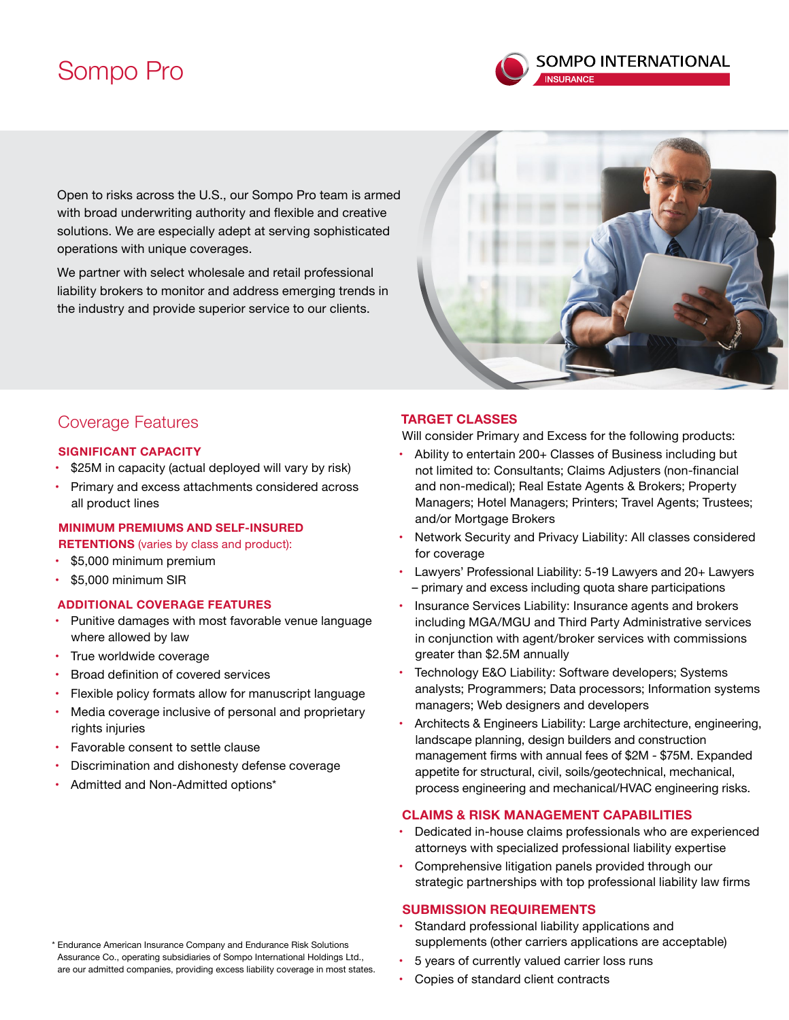# Sompo Pro



Open to risks across the U.S., our Sompo Pro team is armed with broad underwriting authority and flexible and creative solutions. We are especially adept at serving sophisticated operations with unique coverages.

We partner with select wholesale and retail professional liability brokers to monitor and address emerging trends in the industry and provide superior service to our clients.



## Coverage Features

## **SIGNIFICANT CAPACITY**

- \$25M in capacity (actual deployed will vary by risk)
- Primary and excess attachments considered across all product lines

## **MINIMUM PREMIUMS AND SELF-INSURED**

**RETENTIONS** (varies by class and product):

- \$5,000 minimum premium
- • \$5,000 minimum SIR

## **ADDITIONAL COVERAGE FEATURES**

- Punitive damages with most favorable venue language where allowed by law
- True worldwide coverage
- • Broad definition of covered services
- Flexible policy formats allow for manuscript language
- Media coverage inclusive of personal and proprietary rights injuries
- Favorable consent to settle clause
- Discrimination and dishonesty defense coverage
- Admitted and Non-Admitted options\*

## **TARGET CLASSES**

Will consider Primary and Excess for the following products:

- Ability to entertain 200+ Classes of Business including but not limited to: Consultants; Claims Adjusters (non-financial and non-medical); Real Estate Agents & Brokers; Property Managers; Hotel Managers; Printers; Travel Agents; Trustees; and/or Mortgage Brokers
- Network Security and Privacy Liability: All classes considered for coverage
- Lawyers' Professional Liability: 5-19 Lawyers and 20+ Lawyers – primary and excess including quota share participations
- Insurance Services Liability: Insurance agents and brokers including MGA/MGU and Third Party Administrative services in conjunction with agent/broker services with commissions greater than \$2.5M annually
- Technology E&O Liability: Software developers; Systems analysts; Programmers; Data processors; Information systems managers; Web designers and developers
- Architects & Engineers Liability: Large architecture, engineering, landscape planning, design builders and construction management firms with annual fees of \$2M - \$75M. Expanded appetite for structural, civil, soils/geotechnical, mechanical, process engineering and mechanical/HVAC engineering risks.

## **CLAIMS & RISK MANAGEMENT CAPABILITIES**

- Dedicated in-house claims professionals who are experienced attorneys with specialized professional liability expertise
- Comprehensive litigation panels provided through our strategic partnerships with top professional liability law firms

## **SUBMISSION REQUIREMENTS**

- Standard professional liability applications and supplements (other carriers applications are acceptable)
- 5 years of currently valued carrier loss runs
- Copies of standard client contracts

\* Endurance American Insurance Company and Endurance Risk Solutions Assurance Co., operating subsidiaries of Sompo International Holdings Ltd., are our admitted companies, providing excess liability coverage in most states.